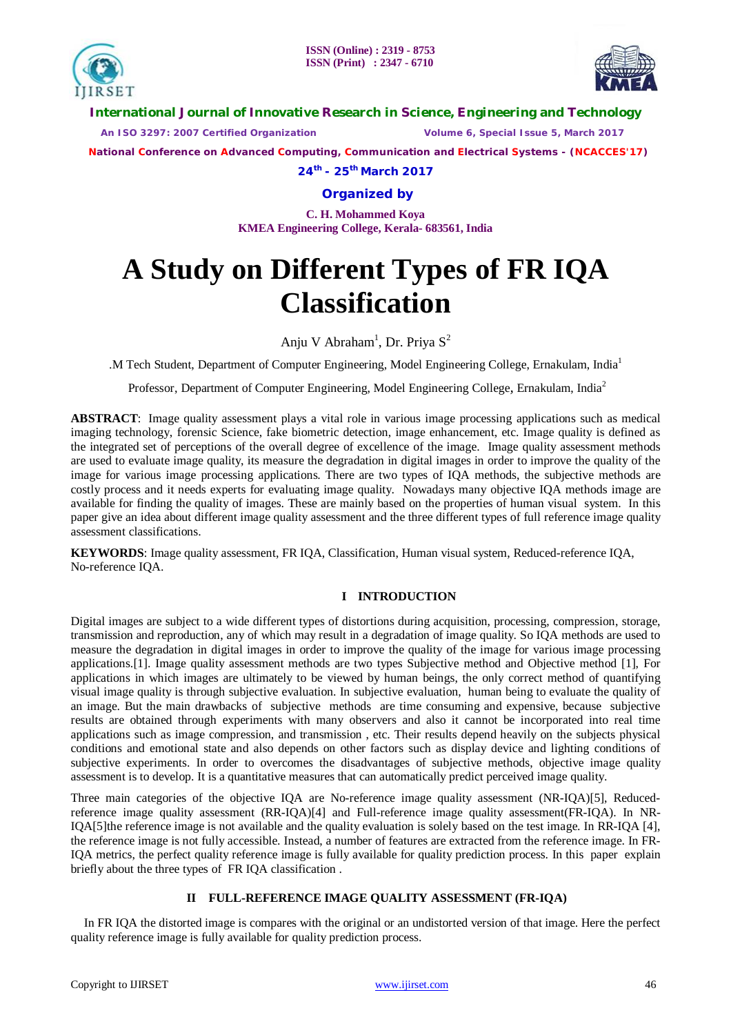



**International Journal of Innovative Research in Science, Engineering and Technology**

 *An ISO 3297: 2007 Certified Organization Volume 6, Special Issue 5, March 2017*

 **National Conference on Advanced Computing, Communication and Electrical Systems - (NCACCES'17)**

**24th - 25th March 2017**

**Organized by**

**C. H. Mohammed Koya KMEA Engineering College, Kerala- 683561, India** 

# **A Study on Different Types of FR IQA Classification**

Anju V Abraham<sup>1</sup>, Dr. Priya S<sup>2</sup>

.M Tech Student, Department of Computer Engineering, Model Engineering College, Ernakulam, India<sup>1</sup>

Professor, Department of Computer Engineering, Model Engineering College*,* Ernakulam, India<sup>2</sup>

**ABSTRACT**: Image quality assessment plays a vital role in various image processing applications such as medical imaging technology, forensic Science, fake biometric detection, image enhancement, etc. Image quality is defined as the integrated set of perceptions of the overall degree of excellence of the image. Image quality assessment methods are used to evaluate image quality, its measure the degradation in digital images in order to improve the quality of the image for various image processing applications. There are two types of IQA methods, the subjective methods are costly process and it needs experts for evaluating image quality. Nowadays many objective IQA methods image are available for finding the quality of images. These are mainly based on the properties of human visual system. In this paper give an idea about different image quality assessment and the three different types of full reference image quality assessment classifications.

**KEYWORDS**: Image quality assessment, FR IQA, Classification, Human visual system, Reduced-reference IQA, No-reference IQA.

# **I INTRODUCTION**

Digital images are subject to a wide different types of distortions during acquisition, processing, compression, storage, transmission and reproduction, any of which may result in a degradation of image quality. So IQA methods are used to measure the degradation in digital images in order to improve the quality of the image for various image processing applications.[1]. Image quality assessment methods are two types Subjective method and Objective method [1], For applications in which images are ultimately to be viewed by human beings, the only correct method of quantifying visual image quality is through subjective evaluation. In subjective evaluation, human being to evaluate the quality of an image. But the main drawbacks of subjective methods are time consuming and expensive, because subjective results are obtained through experiments with many observers and also it cannot be incorporated into real time applications such as image compression, and transmission , etc. Their results depend heavily on the subjects physical conditions and emotional state and also depends on other factors such as display device and lighting conditions of subjective experiments. In order to overcomes the disadvantages of subjective methods, objective image quality assessment is to develop. It is a quantitative measures that can automatically predict perceived image quality.

Three main categories of the objective IQA are No-reference image quality assessment (NR-IQA)[5], Reducedreference image quality assessment (RR-IQA)[4] and Full-reference image quality assessment(FR-IQA). In NR-IQA[5]the reference image is not available and the quality evaluation is solely based on the test image. In RR-IQA [4], the reference image is not fully accessible. Instead, a number of features are extracted from the reference image. In FR-IQA metrics, the perfect quality reference image is fully available for quality prediction process. In this paper explain briefly about the three types of FR IQA classification .

# **II FULL-REFERENCE IMAGE QUALITY ASSESSMENT (FR-IQA)**

In FR IQA the distorted image is compares with the original or an undistorted version of that image. Here the perfect quality reference image is fully available for quality prediction process.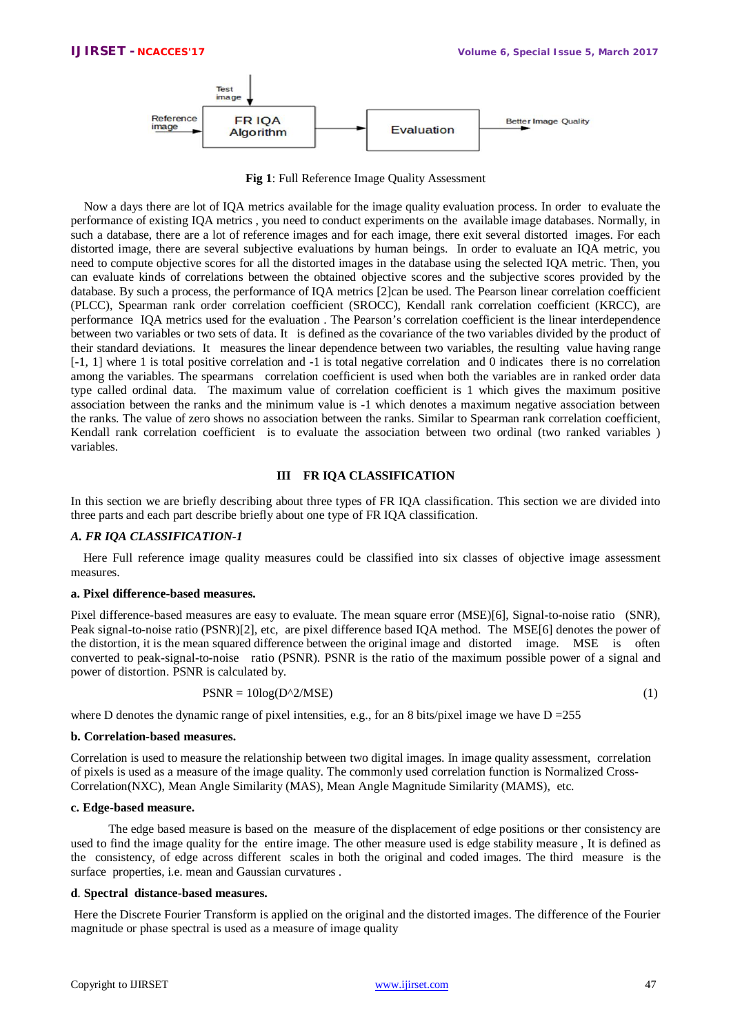

**Fig 1**: Full Reference Image Quality Assessment

Now a days there are lot of IQA metrics available for the image quality evaluation process. In order to evaluate the performance of existing IQA metrics , you need to conduct experiments on the available image databases. Normally, in such a database, there are a lot of reference images and for each image, there exit several distorted images. For each distorted image, there are several subjective evaluations by human beings. In order to evaluate an IQA metric, you need to compute objective scores for all the distorted images in the database using the selected IQA metric. Then, you can evaluate kinds of correlations between the obtained objective scores and the subjective scores provided by the database. By such a process, the performance of IQA metrics [2]can be used. The Pearson linear correlation coefficient (PLCC), Spearman rank order correlation coefficient (SROCC), Kendall rank correlation coefficient (KRCC), are performance IQA metrics used for the evaluation . The Pearson's correlation coefficient is the linear interdependence between two variables or two sets of data. It is defined as the covariance of the two variables divided by the product of their standard deviations. It measures the linear dependence between two variables, the resulting value having range [-1, 1] where 1 is total positive correlation and -1 is total negative correlation and 0 indicates there is no correlation among the variables. The spearmans correlation coefficient is used when both the variables are in ranked order data type called ordinal data. The maximum value of correlation coefficient is 1 which gives the maximum positive association between the ranks and the minimum value is -1 which denotes a maximum negative association between the ranks. The value of zero shows no association between the ranks. Similar to Spearman rank correlation coefficient, Kendall rank correlation coefficient is to evaluate the association between two ordinal (two ranked variables ) variables.

# **III FR IQA CLASSIFICATION**

In this section we are briefly describing about three types of FR IQA classification. This section we are divided into three parts and each part describe briefly about one type of FR IQA classification.

# *A. FR IQA CLASSIFICATION-1*

 Here Full reference image quality measures could be classified into six classes of objective image assessment measures.

# **a. Pixel difference-based measures.**

Pixel difference-based measures are easy to evaluate. The mean square error (MSE)[6], Signal-to-noise ratio (SNR), Peak signal-to-noise ratio (PSNR)[2], etc, are pixel difference based IQA method. The MSE[6] denotes the power of the distortion, it is the mean squared difference between the original image and distorted image. MSE is often converted to peak-signal-to-noise ratio (PSNR). PSNR is the ratio of the maximum possible power of a signal and power of distortion. PSNR is calculated by.

$$
PSNR = 10\log(D^2 / MSE) \tag{1}
$$

where D denotes the dynamic range of pixel intensities, e.g., for an 8 bits/pixel image we have  $D = 255$ 

# **b. Correlation-based measures.**

Correlation is used to measure the relationship between two digital images. In image quality assessment, correlation of pixels is used as a measure of the image quality. The commonly used correlation function is Normalized Cross-Correlation(NXC), Mean Angle Similarity (MAS), Mean Angle Magnitude Similarity (MAMS), etc.

# **c. Edge-based measure.**

 The edge based measure is based on the measure of the displacement of edge positions or ther consistency are used to find the image quality for the entire image. The other measure used is edge stability measure , It is defined as the consistency, of edge across different scales in both the original and coded images. The third measure is the surface properties, i.e. mean and Gaussian curvatures .

# **d**. **Spectral distance-based measures.**

Here the Discrete Fourier Transform is applied on the original and the distorted images. The difference of the Fourier magnitude or phase spectral is used as a measure of image quality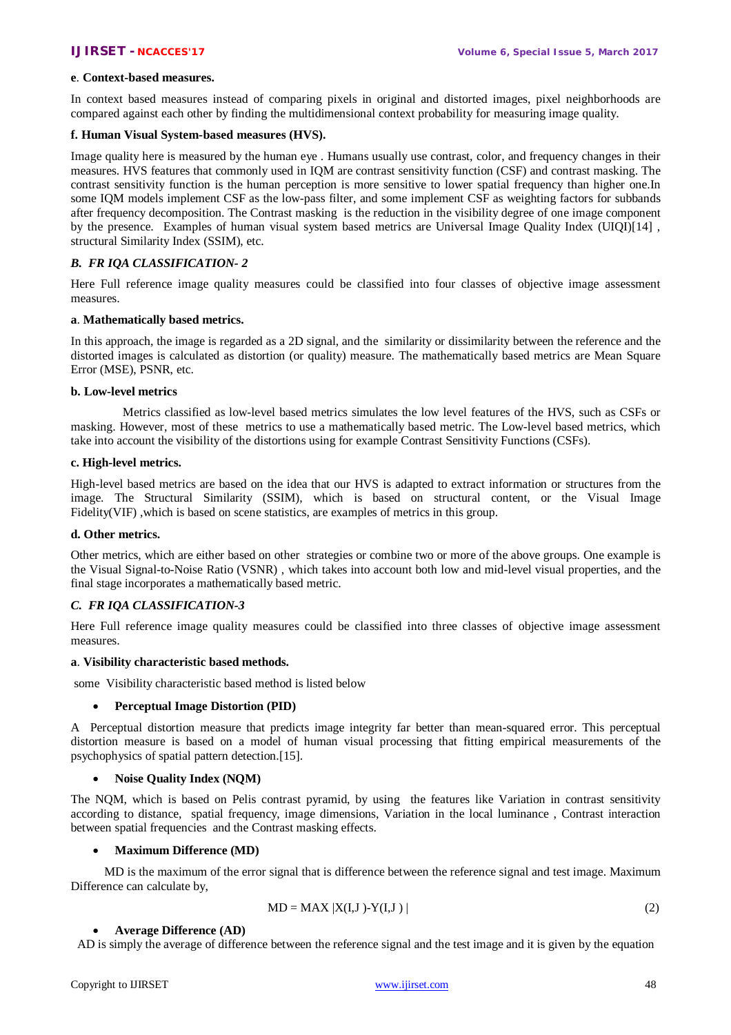# **e**. **Context-based measures.**

In context based measures instead of comparing pixels in original and distorted images, pixel neighborhoods are compared against each other by finding the multidimensional context probability for measuring image quality.

# **f. Human Visual System-based measures (HVS).**

Image quality here is measured by the human eye. Humans usually use contrast, color, and frequency changes in their measures. HVS features that commonly used in IQM are contrast sensitivity function (CSF) and contrast masking. The contrast sensitivity function is the human perception is more sensitive to lower spatial frequency than higher one.In some IQM models implement CSF as the low-pass filter, and some implement CSF as weighting factors for subbands after frequency decomposition. The Contrast masking is the reduction in the visibility degree of one image component by the presence. Examples of human visual system based metrics are Universal Image Quality Index (UIQI)[14] , structural Similarity Index (SSIM), etc.

# *B. FR IQA CLASSIFICATION- 2*

Here Full reference image quality measures could be classified into four classes of objective image assessment measures.

# **a**. **Mathematically based metrics.**

In this approach, the image is regarded as a 2D signal, and the similarity or dissimilarity between the reference and the distorted images is calculated as distortion (or quality) measure. The mathematically based metrics are Mean Square Error (MSE), PSNR, etc.

# **b. Low-level metrics**

 Metrics classified as low-level based metrics simulates the low level features of the HVS, such as CSFs or masking. However, most of these metrics to use a mathematically based metric. The Low-level based metrics, which take into account the visibility of the distortions using for example Contrast Sensitivity Functions (CSFs).

# **c. High-level metrics.**

High-level based metrics are based on the idea that our HVS is adapted to extract information or structures from the image. The Structural Similarity (SSIM), which is based on structural content, or the Visual Image Fidelity(VIF) ,which is based on scene statistics, are examples of metrics in this group.

# **d. Other metrics.**

Other metrics, which are either based on other strategies or combine two or more of the above groups. One example is the Visual Signal-to-Noise Ratio (VSNR) , which takes into account both low and mid-level visual properties, and the final stage incorporates a mathematically based metric.

# *C. FR IQA CLASSIFICATION-3*

Here Full reference image quality measures could be classified into three classes of objective image assessment measures.

# **a**. **Visibility characteristic based methods.**

some Visibility characteristic based method is listed below

# **Perceptual Image Distortion (PID)**

A Perceptual distortion measure that predicts image integrity far better than mean-squared error. This perceptual distortion measure is based on a model of human visual processing that fitting empirical measurements of the psychophysics of spatial pattern detection.[15].

# **Noise Quality Index (NQM)**

The NQM, which is based on Pelis contrast pyramid, by using the features like Variation in contrast sensitivity according to distance, spatial frequency, image dimensions, Variation in the local luminance , Contrast interaction between spatial frequencies and the Contrast masking effects.

# **Maximum Difference (MD)**

 MD is the maximum of the error signal that is difference between the reference signal and test image. Maximum Difference can calculate by,

$$
MD = MAX |X(I, J) - Y(I, J)|
$$
 (2)

# **Average Difference (AD)**

AD is simply the average of difference between the reference signal and the test image and it is given by the equation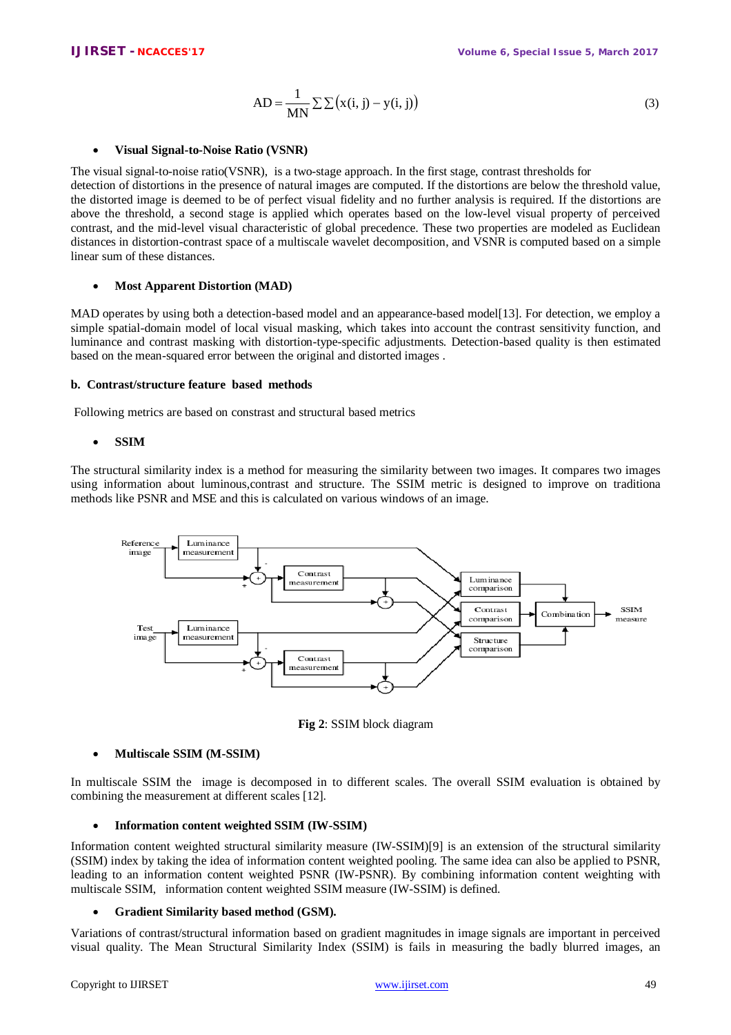$$
AD = \frac{1}{MN} \sum \sum (x(i, j) - y(i, j))
$$
\n(3)

# **Visual Signal-to-Noise Ratio (VSNR)**

The visual signal-to-noise ratio(VSNR), is a two-stage approach. In the first stage, contrast thresholds for detection of distortions in the presence of natural images are computed. If the distortions are below the threshold value, the distorted image is deemed to be of perfect visual fidelity and no further analysis is required. If the distortions are above the threshold, a second stage is applied which operates based on the low-level visual property of perceived contrast, and the mid-level visual characteristic of global precedence. These two properties are modeled as Euclidean distances in distortion-contrast space of a multiscale wavelet decomposition, and VSNR is computed based on a simple linear sum of these distances.

# **Most Apparent Distortion (MAD)**

MAD operates by using both a detection-based model and an appearance-based model [13]. For detection, we employ a simple spatial-domain model of local visual masking, which takes into account the contrast sensitivity function, and luminance and contrast masking with distortion-type-specific adjustments. Detection-based quality is then estimated based on the mean-squared error between the original and distorted images .

# **b. Contrast/structure feature based methods**

Following metrics are based on constrast and structural based metrics

# **SSIM**

The structural similarity index is a method for measuring the similarity between two images. It compares two images using information about luminous,contrast and structure. The SSIM metric is designed to improve on traditiona methods like PSNR and MSE and this is calculated on various windows of an image.





# **Multiscale SSIM (M-SSIM)**

In multiscale SSIM the image is decomposed in to different scales. The overall SSIM evaluation is obtained by combining the measurement at different scales [12].

# **Information content weighted SSIM (IW-SSIM)**

Information content weighted structural similarity measure (IW-SSIM)[9] is an extension of the structural similarity (SSIM) index by taking the idea of information content weighted pooling. The same idea can also be applied to PSNR, leading to an information content weighted PSNR (IW-PSNR). By combining information content weighting with multiscale SSIM, information content weighted SSIM measure (IW-SSIM) is defined.

# **Gradient Similarity based method (GSM).**

Variations of contrast/structural information based on gradient magnitudes in image signals are important in perceived visual quality. The Mean Structural Similarity Index (SSIM) is fails in measuring the badly blurred images, an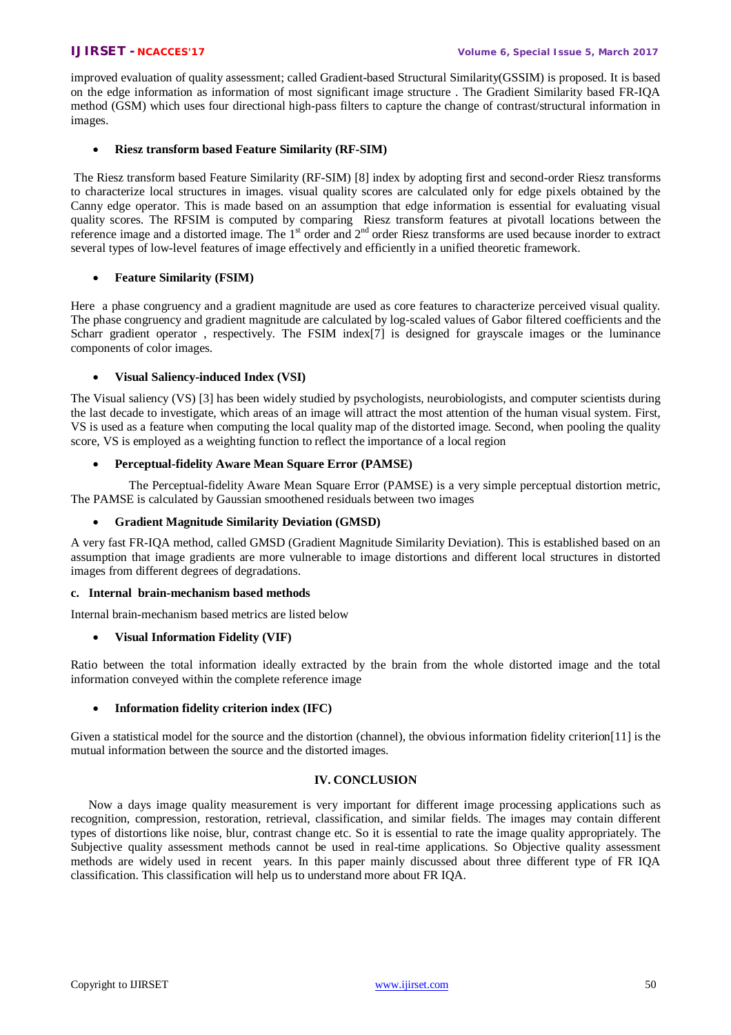improved evaluation of quality assessment; called Gradient-based Structural Similarity(GSSIM) is proposed. It is based on the edge information as information of most significant image structure . The Gradient Similarity based FR-IQA method (GSM) which uses four directional high-pass filters to capture the change of contrast/structural information in images.

# **Riesz transform based Feature Similarity (RF-SIM)**

The Riesz transform based Feature Similarity (RF-SIM) [8] index by adopting first and second-order Riesz transforms to characterize local structures in images. visual quality scores are calculated only for edge pixels obtained by the Canny edge operator. This is made based on an assumption that edge information is essential for evaluating visual quality scores. The RFSIM is computed by comparing Riesz transform features at pivotall locations between the reference image and a distorted image. The 1<sup>st</sup> order and 2<sup>nd</sup> order Riesz transforms are used because inorder to extract several types of low-level features of image effectively and efficiently in a unified theoretic framework.

# **Feature Similarity (FSIM)**

Here a phase congruency and a gradient magnitude are used as core features to characterize perceived visual quality. The phase congruency and gradient magnitude are calculated by log-scaled values of Gabor filtered coefficients and the Scharr gradient operator , respectively. The FSIM index[7] is designed for grayscale images or the luminance components of color images.

# **Visual Saliency-induced Index (VSI)**

The Visual saliency (VS) [3] has been widely studied by psychologists, neurobiologists, and computer scientists during the last decade to investigate, which areas of an image will attract the most attention of the human visual system. First, VS is used as a feature when computing the local quality map of the distorted image. Second, when pooling the quality score, VS is employed as a weighting function to reflect the importance of a local region

# **Perceptual-fidelity Aware Mean Square Error (PAMSE)**

 The Perceptual-fidelity Aware Mean Square Error (PAMSE) is a very simple perceptual distortion metric, The PAMSE is calculated by Gaussian smoothened residuals between two images

# **Gradient Magnitude Similarity Deviation (GMSD)**

A very fast FR-IQA method, called GMSD (Gradient Magnitude Similarity Deviation). This is established based on an assumption that image gradients are more vulnerable to image distortions and different local structures in distorted images from different degrees of degradations.

# **c. Internal brain-mechanism based methods**

Internal brain-mechanism based metrics are listed below

# **Visual Information Fidelity (VIF)**

Ratio between the total information ideally extracted by the brain from the whole distorted image and the total information conveyed within the complete reference image

# **Information fidelity criterion index (IFC)**

Given a statistical model for the source and the distortion (channel), the obvious information fidelity criterion[11] is the mutual information between the source and the distorted images.

# **IV. CONCLUSION**

Now a days image quality measurement is very important for different image processing applications such as recognition, compression, restoration, retrieval, classification, and similar fields. The images may contain different types of distortions like noise, blur, contrast change etc. So it is essential to rate the image quality appropriately. The Subjective quality assessment methods cannot be used in real-time applications. So Objective quality assessment methods are widely used in recent years. In this paper mainly discussed about three different type of FR IQA classification. This classification will help us to understand more about FR IQA.